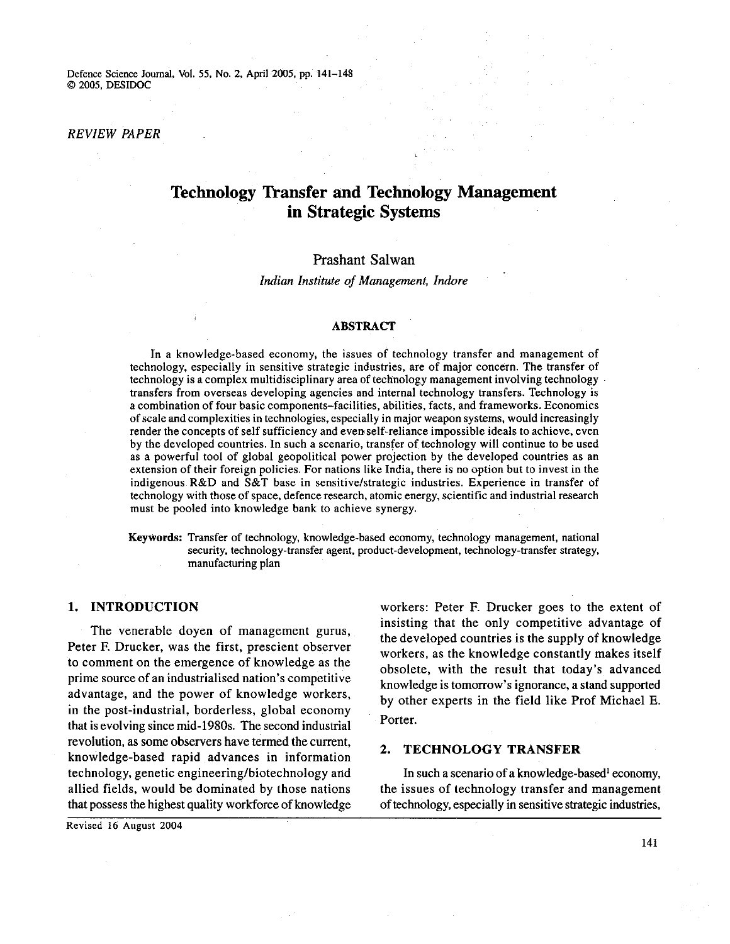Defence Science Journal, Vol. 55, No. 2, April **2005,** pp. **141-148**  O **2005,** DESIDOC

### *REVIEW PAPER*

# **Technology Transfer and Technology Management in Strategic Systems**

# Prashant Salwan

*Indian Institute of Management, Indore* 

### **ABSTRACT**

In a knowledge-based economy, the issues of technology transfer and management of technology, especially in sensitive strategic industries, are of major concern. The transfer of technology is a complex multidisciplinary area of technology management involving technology transfers from overseas developing agencies and internal technology transfers. Technology is a combination of four basic components-facilities, abilities, facts, and frameworks. Economics of scale and complexities in technologies, especially in major weapon systems, would increasingly render the concepts of self sufficiency and evenself-reliance impossible ideals to achieve, even by the developed countries. In such a scenario, transfer of technology will continue to be used as a powerful tool of global geopolitical power projection by the developed countries as an extension of their foreign policies. For nations like India, there is no option but to invest in the indigenous R&D and S&T base in sensitive/strategic industries. Experience in transfer of technology with those of space, defence research, atomic energy, scientific and industrial research must be pooled into knowledge bank to achieve synergy.

**Keywords:** Transfer of technology, knowledge-based economy, technology management, national security, technology-transfer agent, product-development, technology-transfer strategy, manufacturing plan

The venerable doyen of management gurus, Peter F. Drucker, was the first, prescient observer to comment on the emergence of knowledge as the prime source of an industrialised nation's competitive advantage, and the power of knowledge workers, in the post-industrial, borderless, global economy that is evolving since mid-1980s. The second industrial revolution, as some observers have termed the current, knowledge-based rapid advances in information **2. TECHNOLOGY TRANSFER**  technology, genetic engineering/biotechnology and In such a scenario of a knowledge-based<sup>1</sup> economy, allied fields, would be dominated by those nations the issues of technology transfer and management

**1. INTRODUCTION** workers: Peter E Drucker goes to the extent of insisting that the only competitive advantage of the developed countries is the supply of knowledge workers, as the knowledge constantly makes itself obsolete, with the result that today's advanced knowledge is tomorrow's ignorance, a stand supported by other experts in the field like Prof Michael E. Porter.

that possess the highest quality workforce of knowledge of technology, especially in sensitive strategic industries,

Revised 16 August **2004** 

**141**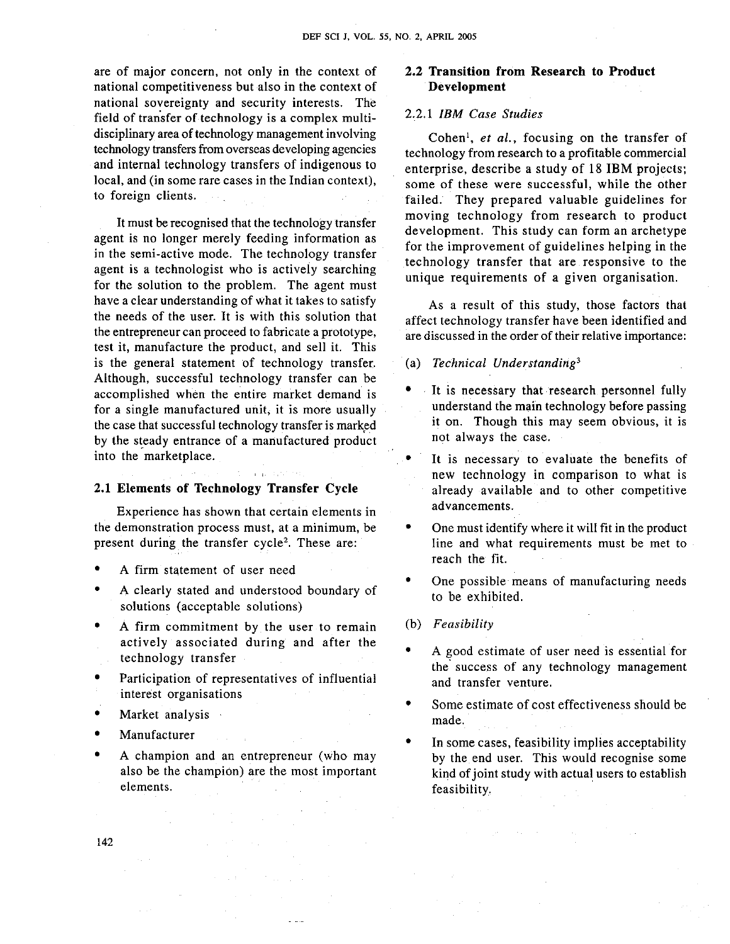are of major concern, not only in the context of national competitiveness but also in the context of national sovereignty and security interests. The field of transfer of technology is a complex multidisciplinary area of technology management involving technology transfers from overseas developing agencies and internal technology transfers of indigenous to local, and (in some rare cases in the Indian context), to foreign clients.

It must be recognised that the technology transfer agent is no longer merely feeding information as in the semi-active mode. The technology transfer agent is a technologist who is actively searching for the solution to the problem. The agent must have a clear understanding of what it takes to satisfy the needs of the user. It is with this solution that the entrepreneur can proceed to fabricate a prototype, test it, manufacture the product, and sell it. This is the general statement of technology transfer. Although, successful technology transfer can be accomplished when the entire market demand is for a single manufactured unit, it is more usually the case that successful technology transfer is marked by the steady entrance of a manufactured product into the marketplace.

#### **2.1 Elements of Technology Transfer Cycle**

Experience has shown that certain elements in the demonstration process must, at a minimum, be present during the transfer cycle<sup>2</sup>. These are:

- A firm statement of user need
- A clearly stated and understood boundary of solutions (acceptable solutions)
- A firm commitment by the user to remain actively associated during and after the technology transfer
- Participation of representatives of influential interest organisations
- Market analysis
- Manufacturer
- $\bullet$ A champion and an entrepreneur (who may also be the champion) are the most important elements.

## **2.2 Transition from Research to Product Development**

# *2.2.1 IBM Case Studies*

Cohen', *et al.,* focusing on the transfer of technology from research to a profitable commercial enterprise, describe a study of 18 IBM projects; some of these were successful, while the other failed. They prepared valuable guidelines for moving technology from research to product development. This study can form an archetype for the improvement of guidelines helping in the technology transfer that are responsive to the unique requirements of a given organisation.

As a result of this study, those factors that affect technology transfer have been identified and are discussed in the order of their relative importance:

(a) *Technical Understanding3* 

- It is necessary that research personnel fully understand the main technology before passing it on. Though this may seem obvious, it is not always the case.
- It is necessary to evaluate the benefits of new technology in comparison to what is already available and to other competitive advancements.
- One must identify where it will fit in the product line and what requirements must be met to reach the fit.
- One possible means of manufacturing needs to be exhibited.
- (b) *Feasibility*
- A good estimate of user need is essential for the' success of any technology management and transfer venture.
- Some estimate of cost effectiveness should be made.
- In some cases, feasibility implies acceptability by the end user. This would recognise some kind of joint study with actual users to establish feasibility.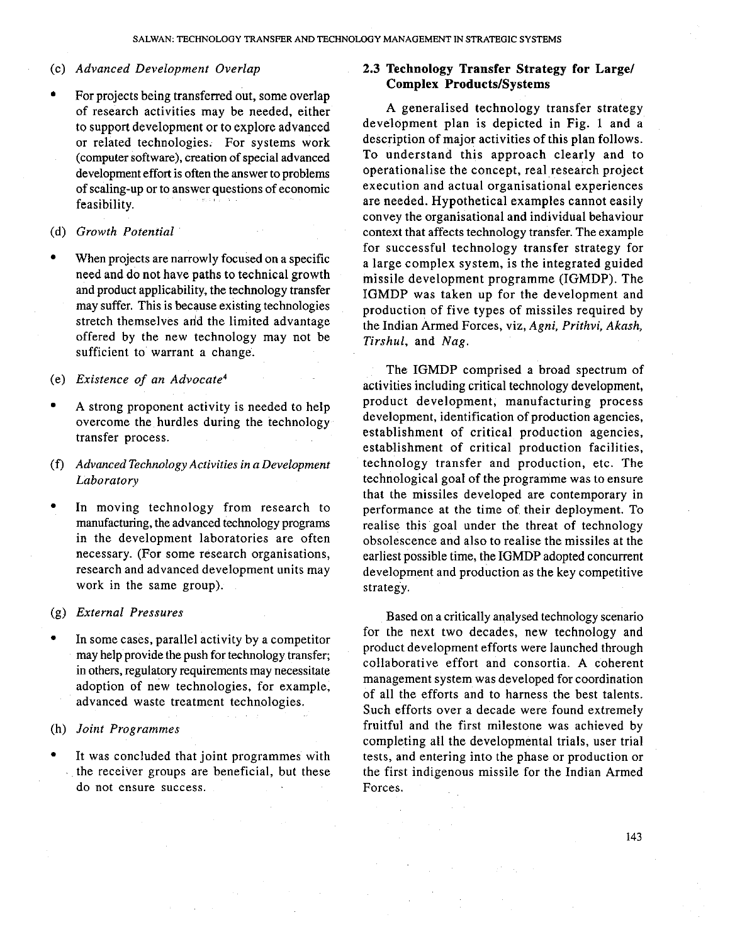### (c) *Advanced Development Overlap*

For projects being transferred out, some overlap of research activities may be needed, either to support development or to explore advanced or related technologies. For systems work (computer software), creation of special advanced development effort is often the answer to problems of scaling-up or to answer questions of economic feasibility.

## (d) *Growth Potential*

When projects are narrowly focused on a specific need and do not have paths to technical growth and product applicability, the technology transfer may suffer. This is because existing technologies stretch themselves and the limited advantage offered by the new technology may not be sufficient to warrant a change.

#### (e) *Existence of an Advocate4*

- A strong proponent activity is needed to help overcome the hurdles during the technology transfer process.
- (f) *Advanced Technology Activities in a Development Laborato~y*
- In moving technology from research to manufacturing, the advanced technology programs in the development laboratories are often necessary. (For some research organisations, research and advanced development units may work in the same group).

### (g) *External Pressures*

In some cases, parallel activity by a competitor may help provide the push for technology transfer; in others, regulatory requirements may necessitate adoption of new technologies, for example, advanced waste treatment technologies.

#### (h) *Joint Programmes*

It was concluded that joint programmes with the receiver groups are beneficial, but these do not ensure success.

# **2.3 Technology Transfer Strategy for Large1 Complex Products/Systems**

A generalised technology transfer strategy development plan is depicted in Fig. 1 and a description of major activities of this plan follows. To understand this approach clearly and to operationalise the concept, real research project execution and actual organisational experiences are needed. Hypothetical examples cannot easily convey the organisational and individual behaviour context that affects technology transfer. The example for successful technology transfer strategy for a large complex system, is the integrated guided missile development programme (IGMDP). The IGMDP was taken up for the development and production of five types of missiles required by the Indian Armed Forces, viz, *Agni, Prithvi, Akash, Tirshul,* and *Nag.* 

The IGMDP comprised a broad spectrum of activities including critical technology development, product development, manufacturing process development, identification of production agencies, establishment of critical production agencies, establishment of critical production facilities, technology transfer and production, etc. The technological goal of the programme was to ensure that the missiles developed are contemporary in performance at the time of their deployment. To realise this goal under the threat of technology obsolescence and also to realise the missiles at the earliest possible time, the IGMDP adopted concurrent development and production as the key competitive strategy.

Based on a critically analysed technology scenario for the next two decades, new technology and product development efforts were launched through collaborative effort and consortia. A coherent management system was developed for coordination of all the efforts and to harness the best talents. Such efforts over a decade were found extremely fruitful and the first milestone was achieved by completing all the developmental trials, user trial tests, and entering into the phase or production or the first indigenous missile for the Indian Armed Forces.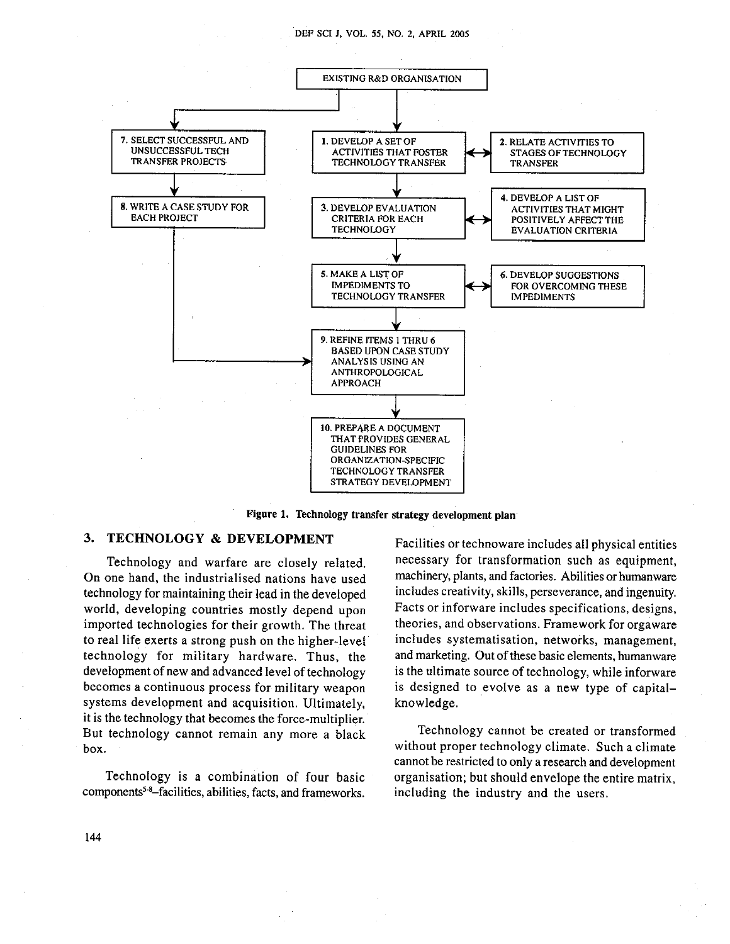

Figure 1. Technology transfer strategy development plan

# **3. TECHNOLOGY & DEVELOPMENT** Facilities or technoware includes all physical entities

On one hand, the industrialised nations have used technology for maintaining their lead in the developed includes creativity, skills, perseverance, and ingenuity. world, developing countries mostly depend upon Facts or inforware includes specifications, designs, imported technologies for their growth. The threat theories, and observations. Framework for orgaware to real life exerts a strong push on the higher-level includes systematisation, networks, management, technology for military hardware. Thus, the and marketing. Out of these basic elements, humanware development of new and advanced level of technology is the ultimate source of technology, while inforware<br>becomes a continuous process for military weapon is designed to evolve as a new type of capitalsystems development and acquisition. Ultimately, knowledge. it is the technology that becomes the force-multiplier, But technology cannot remain any more a black Technology cannot be created or transformed box. **box.** without proper technology climate. Such a climate

**components5-8-facilities,** abilities, facts, and frameworks. including the industry and the users.

Technology and warfare are closely related. Inecessary for transformation such as equipment,<br>one hand, the industrialised nations have used machinery, plants, and factories. Abilities or humanware is designed to evolve as a new type of capital-

cannot be restricted to only a research and development Technology is a combination of four basic organisation; but should envelope the entire matrix,

144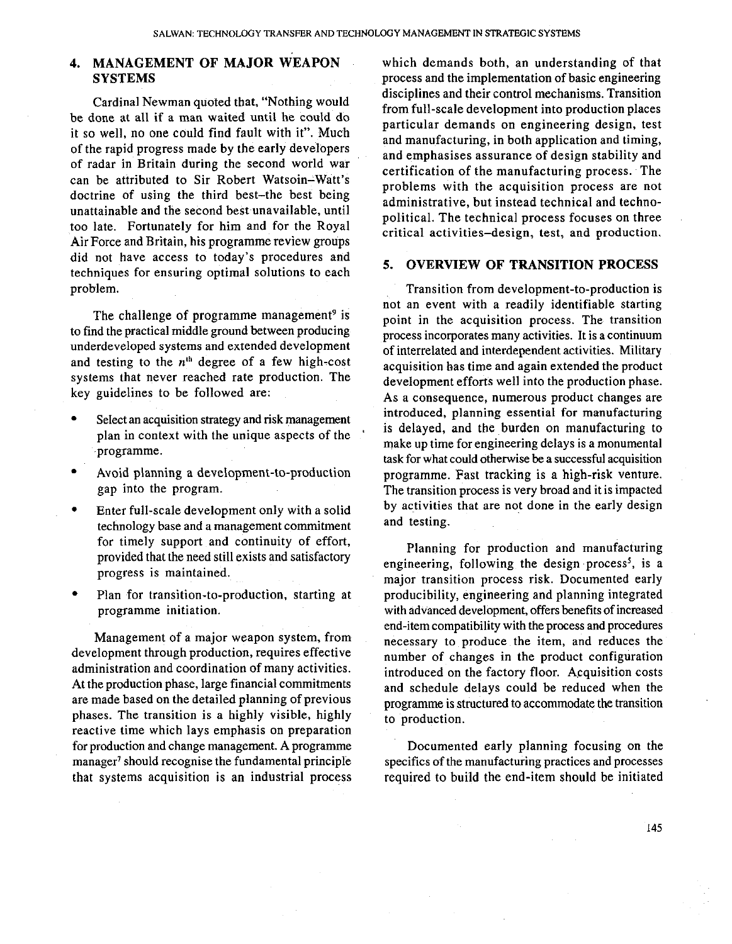Cardinal Newman quoted that, "Nothing would be done at all if a man waited until he could do it so well, no one could find fault with it". Much of the rapid progress made by the early developers of radar in Britain during the second world war can be attributed to Sir Robert Watsoin-Watt's doctrine of using the third best-the best being unattainable and the second best unavailable, until too late. Fortunately for him and for the Royal Air Force and Britain, his programme review groups did not have access to today's procedures and techniques for ensuring optimal solutions to each **5. OVERVIEW OF TRANSITION PROCESS** problem.

The challenge of programme management<sup>9</sup> is to find the practical middle ground between producing underdeveloped systems and extended development and testing to the  $n<sup>th</sup>$  degree of a few high-cost systems that never reached rate production. The key guidelines to be followed are:

- Select an acquisition strategy and risk management plan in context with the unique aspects of the programme.
- Avoid planning a development-to-production gap into the program.
- $\bullet$ Enter full-scale development only with a solid technology base and a management commitment<br>for timely support and continuity of effort,
- Plan for transition-to-production, starting at programme initiation.

Management of a major weapon system, from development through production, requires effective administration and coordination of many activities. At the production phase, large financial commitments are made based on the detailed planning . of previous . phases. The transition is a highly visible, highly reactive time which lays emphasis on preparation for production and change management. A programme manager<sup>7</sup> should recognise the fundamental principle that systems acquisition is an industrial process

**4. MANAGEMENT OF MAJOR WEAPON** which demands both, an understanding of that SYSTEMS process and the implementation of basic engineering **SYSTEMS process and the implementation of basic engineering** disciplines and their control mechanisms. Transition from full-scale development into production places particular demands on engineering design, test and manufacturing, in both application and timing, and emphasises assurance of design stability and certification of the manufacturing process. The problems with the acquisition process are not administrative, but instead technical and technopolitical. The technical process focuses on three critical activities-design, test, and production.

Transition from development-to-production is not an event with a readily identifiable starting point in the acquisition process. The transition process incorporates many activities. It is a continuum of interrelated and interdependent activities. Military acquisition has time and again extended the product development efforts well into the production phase. As a consequence, numerous product changes are introduced, planning essential for manufacturing is delayed, and the burden on manufacturing to make up time for engineering delays is a monumental task for what could otherwise be a successful acquisition programme. Fast tracking is a high-risk venture. The transition process is very broad and it is impacted by activities that are not done in the early design and testing.

for timely support and continuity of effort,<br>provided that the need still exists and satisfactory<br>progress is maintained. major transition process risk. Documented early producibility, engineering and planning integrated with advanced development, offers benefits of increased end-item compatibility with the process and procedures necessary to produce the item, and reduces the number of changes in the product configuration introduced on the factory floor. Acquisition costs and schedule delays could be reduced when the programme is structured to accommodate the transition to production.

> Documented early planning focusing on the specifics of the manufacturing practices and processes required to build the end-item should be initiated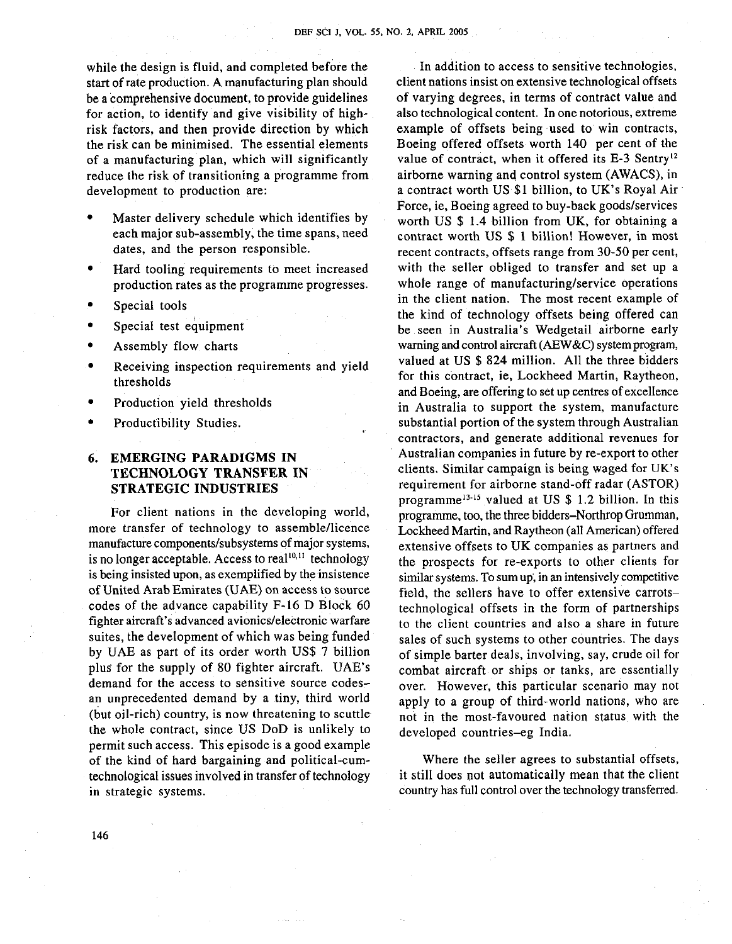while the design is fluid, and completed before the start of rate production. A manufacturing plan should be a comprehensive document, to provide guidelines for action, to identify and give visibility of highrisk factors, and then provide direction by which the risk can be minimised. The essential elements of a manufacturing plan, which will significantly reduce the risk of transitioning a programme from development to production are:

- Master delivery schedule which identifies by each major sub-assembly, the time spans, need dates, and the person responsible.
- Hard tooling requirements to meet increased production rates as the programme progresses.
- Special tools
- Special test equipment
- Assembly flow charts
- Receiving inspection requirements and yield thresholds
- Production yield thresholds
- Productibility Studies.

# **6. EMERGING PARADIGMS IN TECHNOLOGY TRANSFER IN STRATEGIC INDUSTRIES**

For client nations in the developing world, more transfer of technology to assemble/licence manufacture components/subsystems of major systems, is no longer acceptable. Access to real $10,11$  technology is being insisted upon, as exemplified by the insistence of United Arab Emirates (UAE) on access to source codes of the advance capability F-16 D Block 60 fighter aircraft's advanced avionics/electronic warfare suites, the development of which was being funded by UAE as part of its order worth US\$ **7** billion plus for the supply of 80 fighter aircraft. UAE's demand for the access to sensitive source codesan unprecedented demand by a tiny, third world (but oil-rich) country, is now threatening to scuttle the whole contract, since US DoD is unlikely to permit such access. This episode is a good example of the kind of hard bargaining and political-cumtechnological issues involved in transfer of technology in strategic systems.

In addition to access to sensitive technologies, client nations insist on extensive technological offsets of varying degrees, in terms of contract value and also technological content. In one notorious, extreme example of offsets being used to win contracts, Boeing offered offsets worth 140 per cent of the value of contract, when it offered its E-3 Sentry<sup>12</sup> airborne warning and control system (AWACS), in a contract worth US \$1 billion, to UK's Royal Air Force, ie, Boeing agreed to buy-back goods/services worth US \$ 1.4 billion from UK, for obtaining a contract worth US \$ 1 billion! However, in most recent contracts, offsets range from 30-50 per cent, with the seller obliged to transfer and set up a whole range of manufacturing/service operations in the client nation. The most recent example of the kind of technology offsets being offered can be seen in Australia's Wedgetail airborne early warning and control aircraft (AEW&C) system program, valued at US \$ 824 million. All the three bidders for this contract, ie, Lockheed Martin, Raytheon, and Boeing, are offering to set up centres of excellence in Australia to support the system, manufacture substantial portion of the system through Australian contractors, and generate additional revenues for Australian companies in future by re-export to other clients. Similar campaign is being waged for UK's requirement for airborne stand-off radar (ASTOR) programme<sup>13-15</sup> valued at US  $$ 1.2$  billion. In this programme, too, the three bidders-Northrop Grumman, Lockheed Martin, and Raytheon (all American) offered extensive offsets to UK companies as partners and the prospects for re-exports to other clients for similar systems. To sum up, in an intensively competitive field, the sellers have to offer extensive carrotstechnological offsets in the form of partnerships to the client countries and also a share in future sales of such systems to other countries. The days of simple barter deals, involving, say, crude oil for combat aircraft or ships or tanks, are essentially over. However, this particular scenario may not apply to a group of third-world nations, who are not in the most-favoured nation status with the developed countries-eg India.

Where the seller agrees to substantial offsets, it still does not automatically mean that the client country has full control over the technology transferred.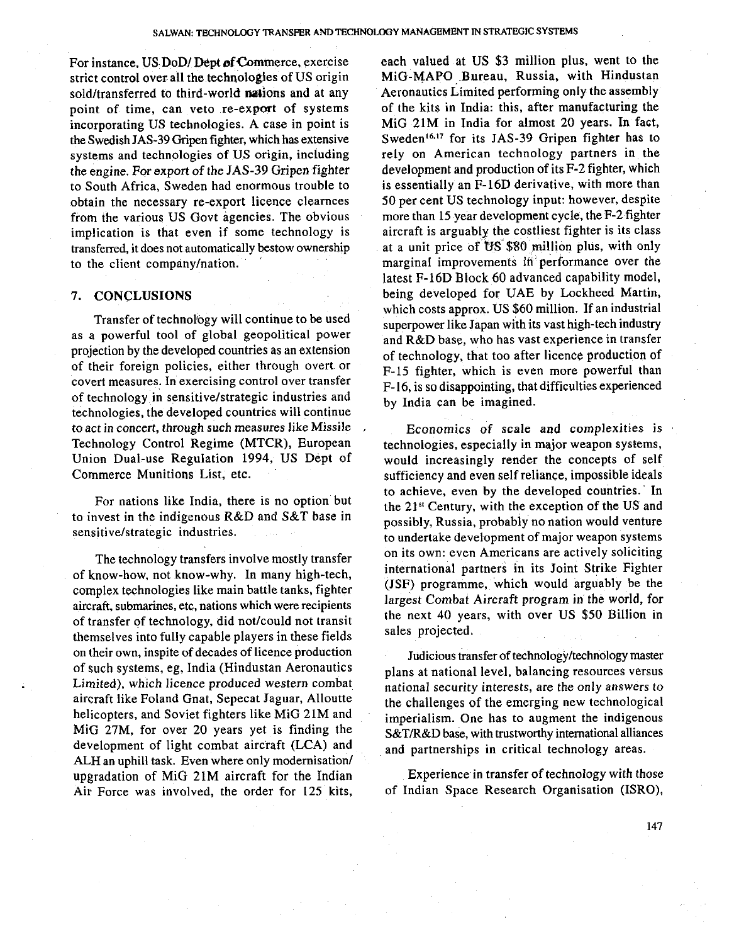For instance, US DoD/ Dept of Commerce, exercise strict control over all the technologies of US origin sold/transferred to third-world nations and at any point of time, can veto re-export of systems incorporating US technologies. A case in point is the Swedish JAS-39 **Gripen** fighter, which has extensive systems and technologies of US origin, including the engine. For export of the JAS-39 Gripen fighter to South Africa, Sweden had enormous trouble to obtain the necessary re-export licence clearnces from the various US Govt agencies. The obvious implication is that even if some technology is transferred, it does not automatically bestow ownership to the client companylnation.

#### **7. CONCLUSIONS**

Transfer of technology will continue to be used as a powerful tool of global geopolitical power projection by the developed countries as an extension of their foreign policies, either through overt or covert measures. In exercising control over transfer of technology in sensitivelstrategic industries and technologies, the developed countries will continue to act in concert, through such measures like Missile Technology Control Regime (MTCR), European Union Dual-use Regulation 1994, US Dept of Commerce Munitions List, etc.

For nations like India, there is no option but to invest in the indigenous R&D and S&T base in sensitive/strategic industries.

The technology transfers involve mostly transfer of know-how, not know-why. In many high-tech, complex technologies like main battle tanks, fighter aircraft, submarines, etc, nations which were recipients of transfer of technology, did not/could not transit of transfer of technology, did not/could not transit<br>themselves into fully capable players in these fields on their own, inspite of decades of licence production of such systems, eg, India (Hindustan Aeronautics Limited), which licence produced western combat aircraft like Foland Gnat, Sepecat Jaguar, Alloutte helicopters, and Soviet fighters like MiG 21M and MiG 27M, for over 20 years yet is finding the development of light combat aircraft (LCA) and ALH an uphill task. Even where only modernisation/ upgradation of MiG 21M aircraft for the Indian Air Force was involved, the order for 125 kits,

each valued at US \$3 million plus, went to the MiG-MAP0 Bureau, Russia, with Hindustan Aeronautics Limited performing only the assembly of the kits in India: this, after manufacturing the MiG 21M in India for almost 20 years. In fact, Sweden<sup>16,17</sup> for its JAS-39 Gripen fighter has to rely on American technology partners in the development and production of its F-2 fighter, which is essentially an F-16D derivative, with more than 50 per cent US technology input: however, despite more than 15 year development cycle, the F-2 fighter aircraft is arguably the costliest fighter is its class at a unit price of US \$80 million plus, with only marginal improvements in performance over the latest F-16D Block 60 advanced capability model, being developed for UAE by Lockheed Martin, which costs approx. US \$60 million. If an industrial superpower like Japan with its vast high-tech industry and R&D base, who has vast experience in transfer of technology, that too after licence production of F-15 fighter, which is even more powerful than F-16, is so disappointing, that difficulties experienced by India can be imagined.

Economics of scale and complexities is technologies, especially in major weapon systems, would increasingly render the concepts of self sufficiency and even self reliance, impossible ideals to achieve, even by the developed countries. In the 21" Century, with the exception of the US and possibly, Russia, probably no nation would venture to undertake development of major weapon systems on its own: even Americans are actively soliciting international partners in its Joint Strike Fighter (JSF) programme, which would arguably be the largest Combat Aircraft program in the world, for the next 40 years, with over US \$50 Billion in sales projected.

Judicious transfer of technology/technology master plans at national level, balancing resources versus national security interests, are the only answers to the challenges of the emerging new technological imperialism. One has to augment the indigenous S&T/R&D base, with trustworthy international alliances and partnerships in critical technology areas.

Experience in transfer of technology with those of Indian Space Research Organisation (ISRO),